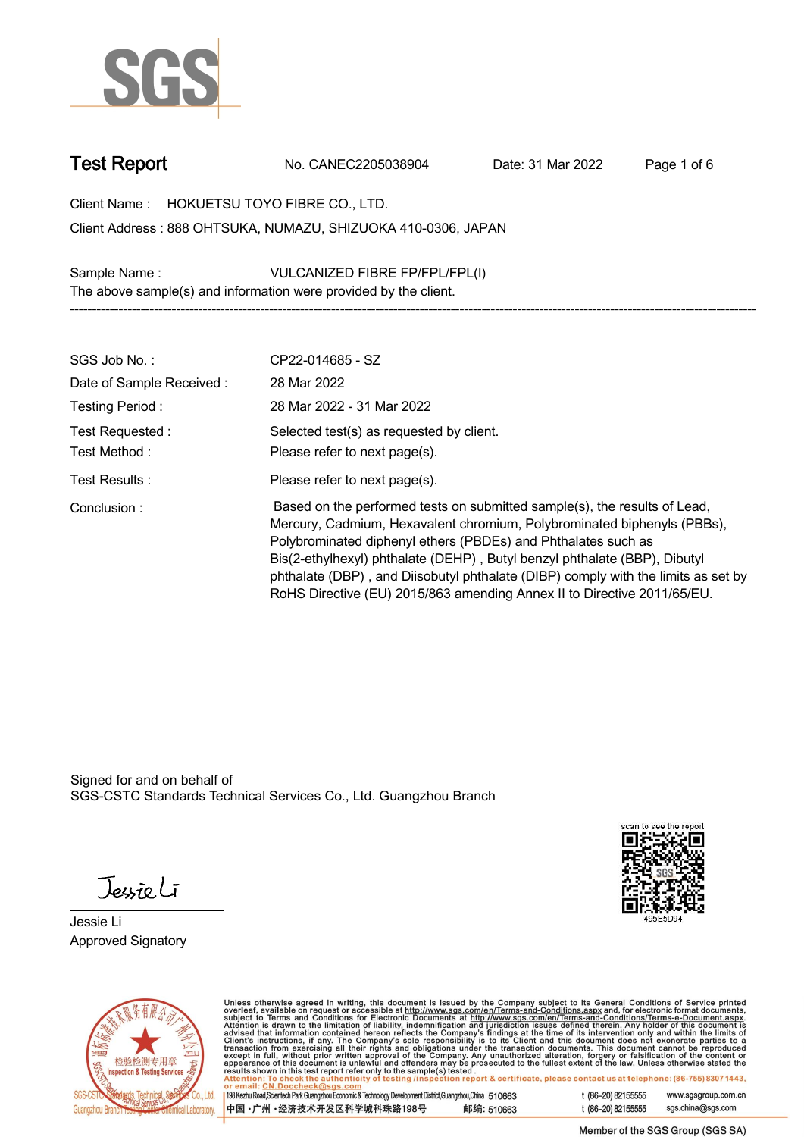

**Test Report. No. CANEC2205038904 . Date: 31 Mar 2022 . Page 1 of 6.**

**Client Name : HOKUETSU TOYO FIBRE CO., LTD. .**

**888 OHTSUKA, NUMAZU, SHIZUOKA 410-0306, JAPAN . Client Address :**

**Sample Name : VULCANIZED FIBRE FP/FPL/FPL(I) . The above sample(s) and information were provided by the client. -----------------------------------------------------------------------------------------------------------------------------------------------------------**

| SGS Job No.:                      | CP22-014685 - SZ                                                                                                                                                                                                                                                                                                                                                                                                                                                   |
|-----------------------------------|--------------------------------------------------------------------------------------------------------------------------------------------------------------------------------------------------------------------------------------------------------------------------------------------------------------------------------------------------------------------------------------------------------------------------------------------------------------------|
| Date of Sample Received:          | 28 Mar 2022                                                                                                                                                                                                                                                                                                                                                                                                                                                        |
| Testing Period:                   | 28 Mar 2022 - 31 Mar 2022                                                                                                                                                                                                                                                                                                                                                                                                                                          |
| Test Requested :<br>Test Method : | Selected test(s) as requested by client.<br>Please refer to next page(s).                                                                                                                                                                                                                                                                                                                                                                                          |
| Test Results :                    | Please refer to next page(s).                                                                                                                                                                                                                                                                                                                                                                                                                                      |
| Conclusion:                       | Based on the performed tests on submitted sample(s), the results of Lead,<br>Mercury, Cadmium, Hexavalent chromium, Polybrominated biphenyls (PBBs),<br>Polybrominated diphenyl ethers (PBDEs) and Phthalates such as<br>Bis(2-ethylhexyl) phthalate (DEHP), Butyl benzyl phthalate (BBP), Dibutyl<br>phthalate (DBP), and Diisobutyl phthalate (DIBP) comply with the limits as set by<br>RoHS Directive (EU) 2015/863 amending Annex II to Directive 2011/65/EU. |

Signed for and on behalf of SGS-CSTC Standards Technical Services Co., Ltd. Guangzhou Branch.

Jessieli

**Jessie Li. Approved Signatory .**





Unless otherwise agreed in writing, this document is issued by the Company subject to its General Conditions of Service printed<br>overleaf, available on request or accessible at http://www.sgs.com/en/Terms-and-Conditions.as

| 198 Kezhu Road, Scientech Park Guangzhou Economic & Technology Development District, Guangzhou, China 510663 |            |
|--------------------------------------------------------------------------------------------------------------|------------|
| 中国 •广州 •经济技术开发区科学城科珠路198号                                                                                    | 邮编: 510663 |

t (86-20) 82155555 www.sgsgroup.com.cn sgs.china@sgs.com t (86-20) 82155555

Member of the SGS Group (SGS SA)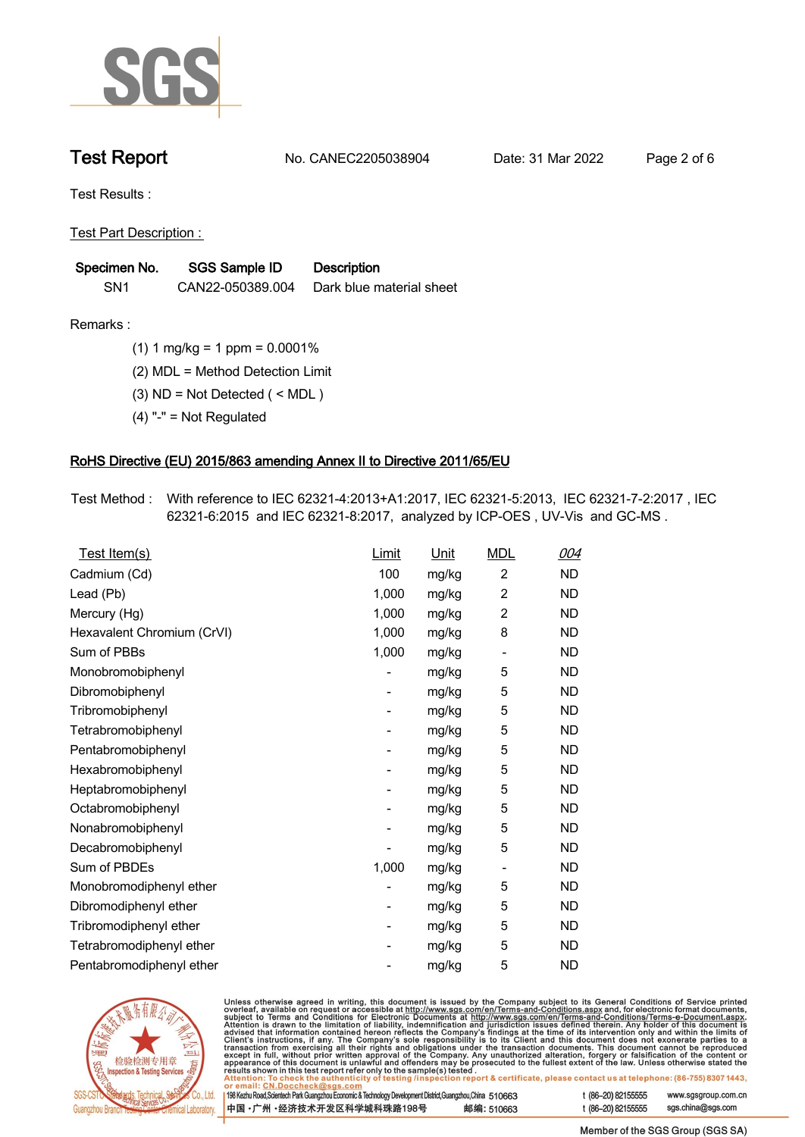

**Test Report. No. CANEC2205038904 . Date: 31 Mar 2022 . Page 2 of 6.**

**Test Results :.**

**Test Part Description : .**

| Specimen No.    | SGS Sample ID    | <b>Description</b>       |
|-----------------|------------------|--------------------------|
| SN <sub>1</sub> | CAN22-050389.004 | Dark blue material sheet |

**Remarks :.(1) 1 mg/kg = 1 ppm = 0.0001% .**

**(2) MDL = Method Detection Limit .**

**(3) ND = Not Detected ( < MDL ) .**

**(4) "-" = Not Regulated .**

## **RoHS Directive (EU) 2015/863 amending Annex II to Directive 2011/65/EU.**

**Test Method :. With reference to IEC 62321-4:2013+A1:2017, IEC 62321-5:2013, IEC 62321-7-2:2017 , IEC 62321-6:2015 and IEC 62321-8:2017, analyzed by ICP-OES , UV-Vis and GC-MS . .**

| Test Item(s)               | Limit                    | Unit  | <b>MDL</b>               | 004       |
|----------------------------|--------------------------|-------|--------------------------|-----------|
| Cadmium (Cd)               | 100                      | mg/kg | $\overline{2}$           | <b>ND</b> |
| Lead (Pb)                  | 1,000                    | mg/kg | $\overline{2}$           | <b>ND</b> |
| Mercury (Hg)               | 1,000                    | mg/kg | $\overline{2}$           | <b>ND</b> |
| Hexavalent Chromium (CrVI) | 1,000                    | mg/kg | 8                        | <b>ND</b> |
| Sum of PBBs                | 1,000                    | mg/kg | $\overline{\phantom{0}}$ | <b>ND</b> |
| Monobromobiphenyl          |                          | mg/kg | 5                        | <b>ND</b> |
| Dibromobiphenyl            | $\overline{\phantom{0}}$ | mg/kg | 5                        | <b>ND</b> |
| Tribromobiphenyl           | $\overline{\phantom{a}}$ | mg/kg | 5                        | <b>ND</b> |
| Tetrabromobiphenyl         |                          | mg/kg | 5                        | <b>ND</b> |
| Pentabromobiphenyl         |                          | mg/kg | 5                        | <b>ND</b> |
| Hexabromobiphenyl          |                          | mg/kg | 5                        | <b>ND</b> |
| Heptabromobiphenyl         |                          | mg/kg | 5                        | <b>ND</b> |
| Octabromobiphenyl          | -                        | mg/kg | 5                        | <b>ND</b> |
| Nonabromobiphenyl          |                          | mg/kg | 5                        | <b>ND</b> |
| Decabromobiphenyl          |                          | mg/kg | 5                        | <b>ND</b> |
| Sum of PBDEs               | 1,000                    | mg/kg | $\overline{\phantom{a}}$ | <b>ND</b> |
| Monobromodiphenyl ether    |                          | mg/kg | 5                        | <b>ND</b> |
| Dibromodiphenyl ether      |                          | mg/kg | 5                        | <b>ND</b> |
| Tribromodiphenyl ether     | -                        | mg/kg | 5                        | <b>ND</b> |
| Tetrabromodiphenyl ether   |                          | mg/kg | 5                        | <b>ND</b> |
| Pentabromodiphenyl ether   |                          | mg/kg | 5                        | <b>ND</b> |



Unless otherwise agreed in writing, this document is issued by the Company subject to its General Conditions of Service printed overleaf, available on request or accessible at http://www.sgs.com/en/Terms-and-Conditions.as

| or email: CN.Doccheck@sgs.com                                                                                |            |                    |                     |
|--------------------------------------------------------------------------------------------------------------|------------|--------------------|---------------------|
| 198 Kezhu Road, Scientech Park Guangzhou Economic & Technology Development District, Guangzhou, China 510663 |            | t (86-20) 82155555 | www.sgsgroup.com.cr |
| ┃中国 •广州 •经济技术开发区科学城科珠路198号 ↓                                                                                 | 邮编: 510663 | t (86-20) 82155555 | sgs.china@sgs.com   |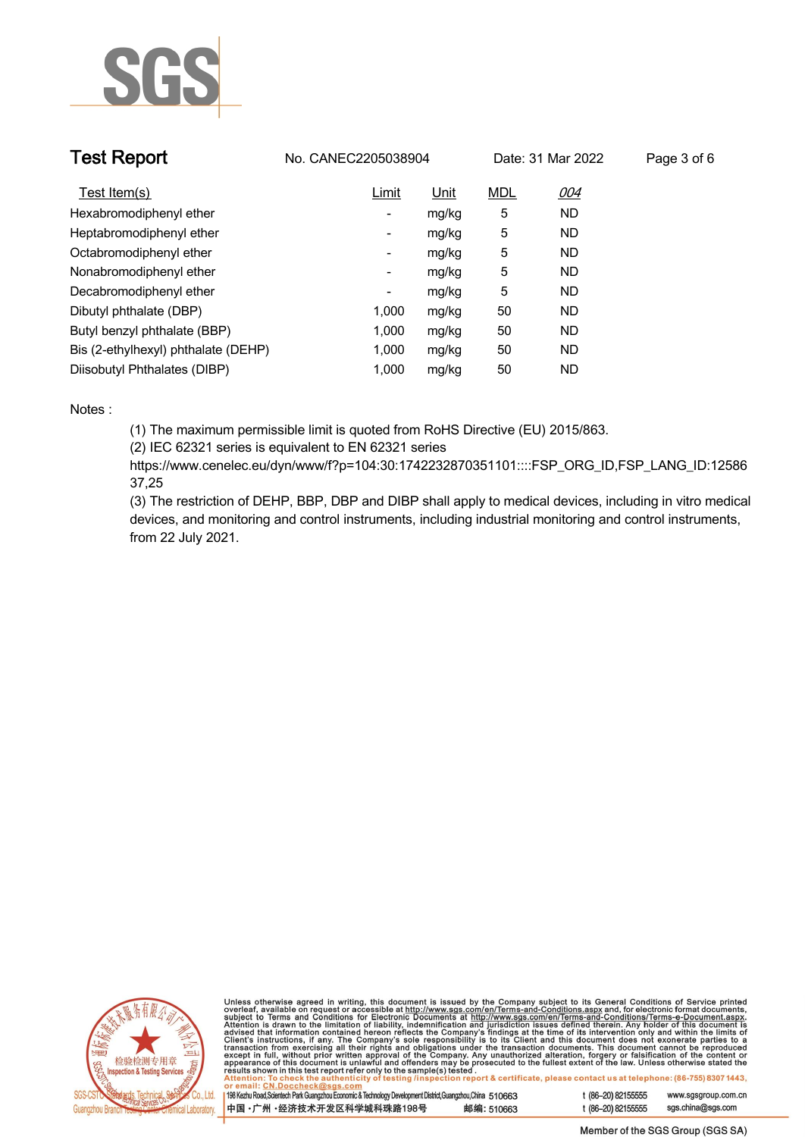

| <b>Test Report</b>                  | No. CANEC2205038904      |             |            | Date: 31 Mar 2022 | Page 3 of 6 |
|-------------------------------------|--------------------------|-------------|------------|-------------------|-------------|
| Test Item(s)                        | Limit                    | <u>Unit</u> | <b>MDL</b> | 004               |             |
| Hexabromodiphenyl ether             | ٠                        | mg/kg       | 5          | <b>ND</b>         |             |
| Heptabromodiphenyl ether            | ٠                        | mg/kg       | 5          | <b>ND</b>         |             |
| Octabromodiphenyl ether             | $\overline{\phantom{a}}$ | mg/kg       | 5          | <b>ND</b>         |             |
| Nonabromodiphenyl ether             | $\overline{\phantom{a}}$ | mg/kg       | 5          | <b>ND</b>         |             |
| Decabromodiphenyl ether             | -                        | mg/kg       | 5          | <b>ND</b>         |             |
| Dibutyl phthalate (DBP)             | 1.000                    | mg/kg       | 50         | <b>ND</b>         |             |
| Butyl benzyl phthalate (BBP)        | 1.000                    | mg/kg       | 50         | <b>ND</b>         |             |
| Bis (2-ethylhexyl) phthalate (DEHP) | 1.000                    | mg/kg       | 50         | <b>ND</b>         |             |
| Diisobutyl Phthalates (DIBP)        | 1.000                    | mg/kg       | 50         | ND                |             |

### **Notes :.**

**(1) The maximum permissible limit is quoted from RoHS Directive (EU) 2015/863.**

**(2) IEC 62321 series is equivalent to EN 62321 series**

**https://www.cenelec.eu/dyn/www/f?p=104:30:1742232870351101::::FSP\_ORG\_ID,FSP\_LANG\_ID:12586 37,25**

**(3) The restriction of DEHP, BBP, DBP and DIBP shall apply to medical devices, including in vitro medical devices, and monitoring and control instruments, including industrial monitoring and control instruments, from 22 July 2021..**



Unless otherwise agreed in writing, this document is issued by the Company subject to its General Conditions of Service printed<br>overleaf, available on request or accessible at http://www.sgs.com/en/Terms-and-Conditions.as

| 198 Kezhu Road,Scientech Park Guangzhou Economic & Technology Development District,Guangzhou,China   51 O663 |  |            |
|--------------------------------------------------------------------------------------------------------------|--|------------|
| 中国 •广州 •经济技术开发区科学城科珠路198号                                                                                    |  | 邮编: 510663 |

www.sgsgroup.com.cn

t (86-20) 82155555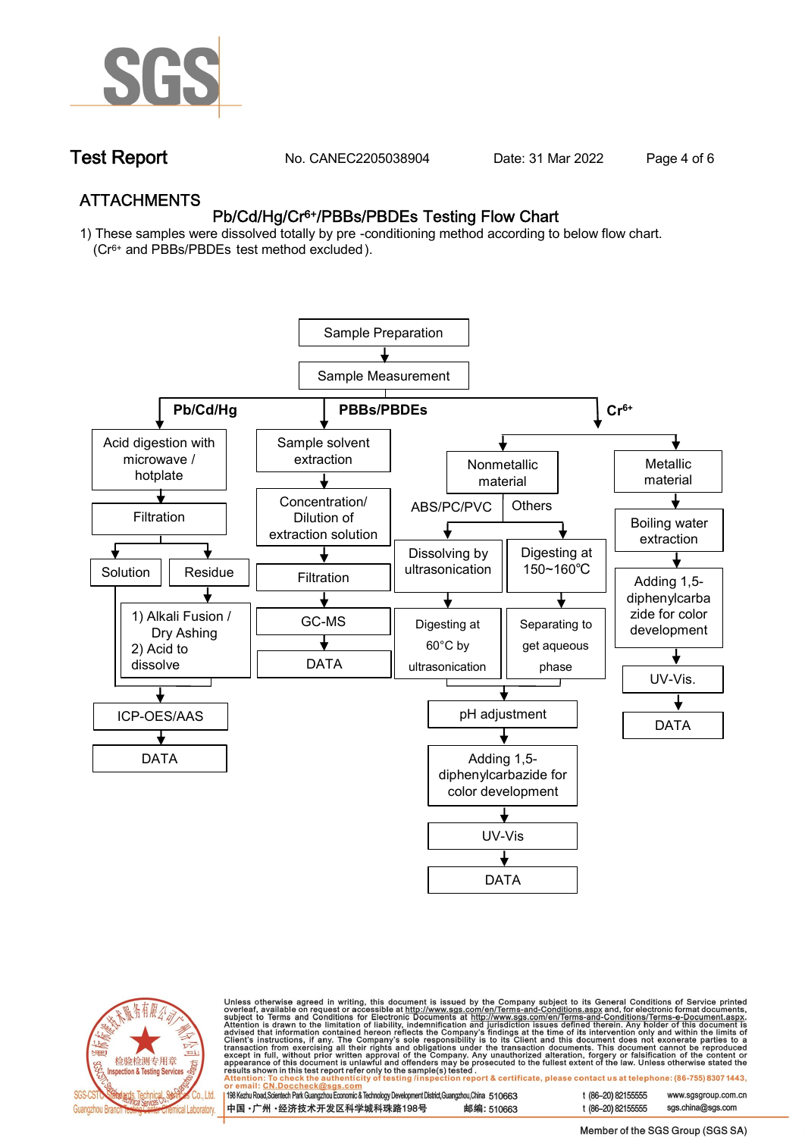

**Test Report. No. CANEC2205038904 . Date: 31 Mar 2022 . Page 4 of 6.**

## **ATTACHMENTS Pb/Cd/Hg/Cr6+/PBBs/PBDEs Testing Flow Chart**

**1) These samples were dissolved totally by pre -conditioning method according to below flow chart. (Cr6+ and PBBs/PBDEs test method excluded ).**





Unless otherwise agreed in writing, this document is issued by the Company subject to its General Conditions of Service printed<br>overleaf, available on request or accessible at http://www.sgs.com/en/Terms-and-Conditions.as

| 198 Kezhu Road,Scientech Park Guangzhou Economic & Technology Development District,Guangzhou,China 510663 |            |
|-----------------------------------------------------------------------------------------------------------|------------|
| 中国 •广州 •经济技术开发区科学城科珠路198号                                                                                 | 邮编: 510663 |

t (86-20) 82155555 www.sgsgroup.com.cn t (86-20) 82155555 sas.china@sas.com

Member of the SGS Group (SGS SA)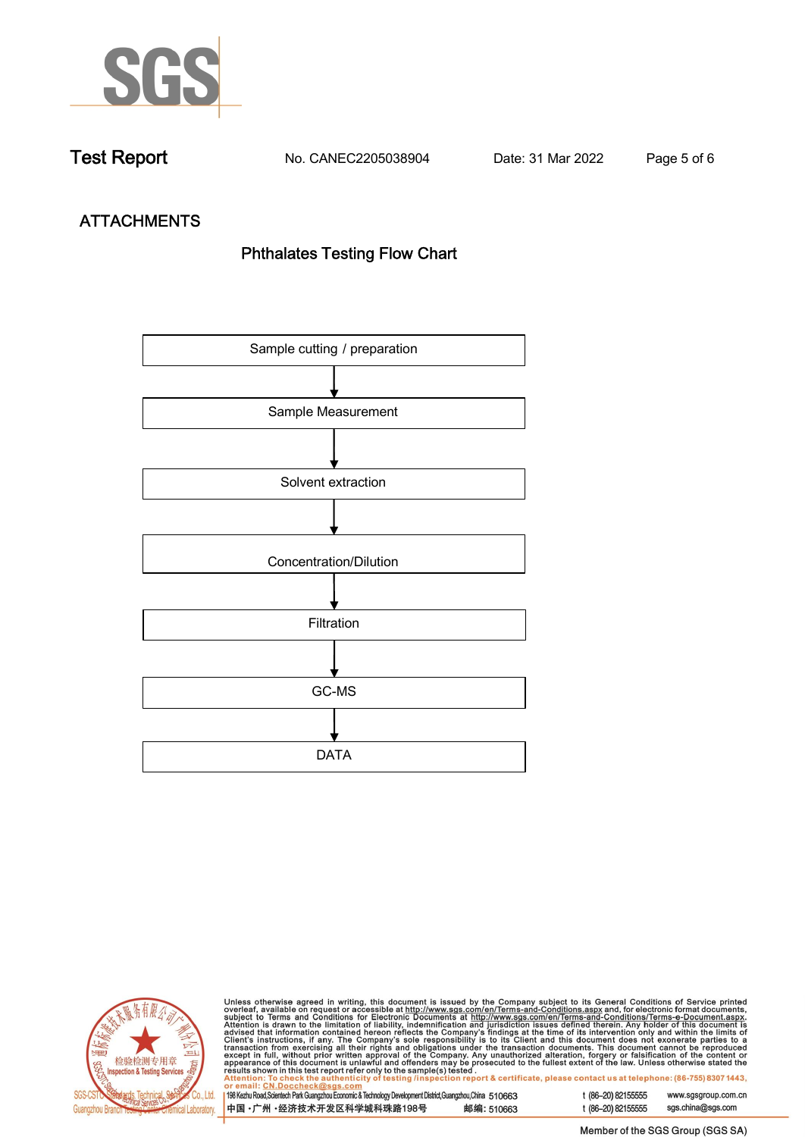

**Test Report. No. CANEC2205038904 . Date: 31 Mar 2022 . Page 5 of 6.**

# **ATTACHMENTS Phthalates Testing Flow Chart**





Unless otherwise agreed in writing, this document is issued by the Company subject to its General Conditions of Service printed overleaf, available on request or accessible at http://www.sgs.com/en/Terms-and-Conditions.as

| or email: CN.Doccheck@sus.com                                                                                |            |  |
|--------------------------------------------------------------------------------------------------------------|------------|--|
|                                                                                                              |            |  |
| 198 Kezhu Road, Scientech Park Guangzhou Economic & Technology Development District, Guangzhou, China 510663 |            |  |
|                                                                                                              |            |  |
| 中国 •广州 •经济技术开发区科学城科珠路198号                                                                                    | 邮编: 510663 |  |
|                                                                                                              |            |  |

t (86-20) 82155555 www.sgsgroup.com.cn t (86-20) 82155555 sgs.china@sgs.com